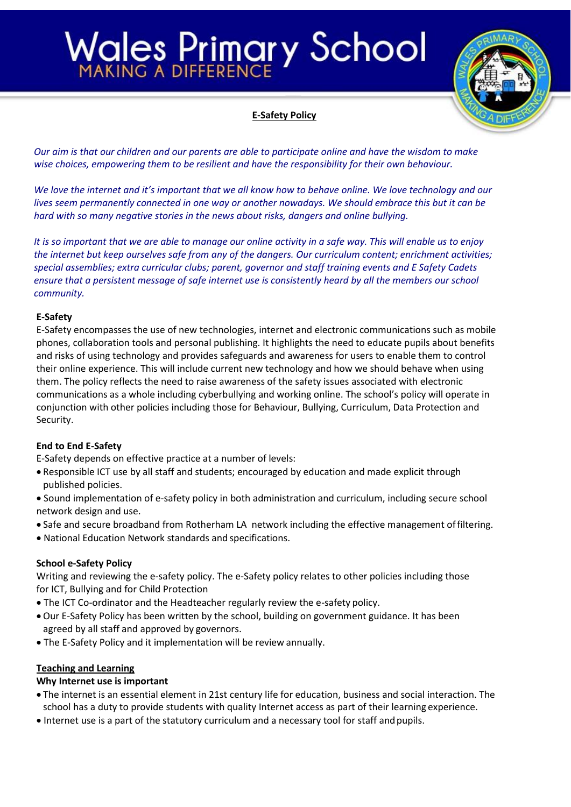### Vales Primary School



#### **E-Safety Policy**

*Our aim is that our children and our parents are able to participate online and have the wisdom to make wise choices, empowering them to be resilient and have the responsibility for their own behaviour.*

*We love the internet and it's important that we all know how to behave online. We love technology and our lives seem permanently connected in one way or another nowadays. We should embrace this but it can be hard with so many negative stories in the news about risks, dangers and online bullying.*

*It is so important that we are able to manage our online activity in a safe way. This will enable us to enjoy the internet but keep ourselves safe from any of the dangers. Our curriculum content; enrichment activities; special assemblies; extra curricular clubs; parent, governor and staff training events and E Safety Cadets ensure that a persistent message of safe internet use is consistently heard by all the members our school community.*

#### **E-Safety**

E-Safety encompasses the use of new technologies, internet and electronic communications such as mobile phones, collaboration tools and personal publishing. It highlights the need to educate pupils about benefits and risks of using technology and provides safeguards and awareness for users to enable them to control their online experience. This will include current new technology and how we should behave when using them. The policy reflects the need to raise awareness of the safety issues associated with electronic communications as a whole including cyberbullying and working online. The school's policy will operate in conjunction with other policies including those for Behaviour, Bullying, Curriculum, Data Protection and Security.

#### **End to End E-Safety**

E-Safety depends on effective practice at a number of levels:

- Responsible ICT use by all staff and students; encouraged by education and made explicit through published policies.
- Sound implementation of e-safety policy in both administration and curriculum, including secure school network design and use.
- Safe and secure broadband from Rotherham LA network including the effective management offiltering.
- National Education Network standards and specifications.

#### **School e-Safety Policy**

Writing and reviewing the e-safety policy. The e-Safety policy relates to other policies including those for ICT, Bullying and for Child Protection

- The ICT Co-ordinator and the Headteacher regularly review the e-safety policy.
- Our E-Safety Policy has been written by the school, building on government guidance. It has been agreed by all staff and approved by governors.
- The E-Safety Policy and it implementation will be review annually.

#### **Teaching and Learning**

#### **Why Internet use is important**

- The internet is an essential element in 21st century life for education, business and social interaction. The school has a duty to provide students with quality Internet access as part of their learning experience.
- Internet use is a part of the statutory curriculum and a necessary tool for staff andpupils.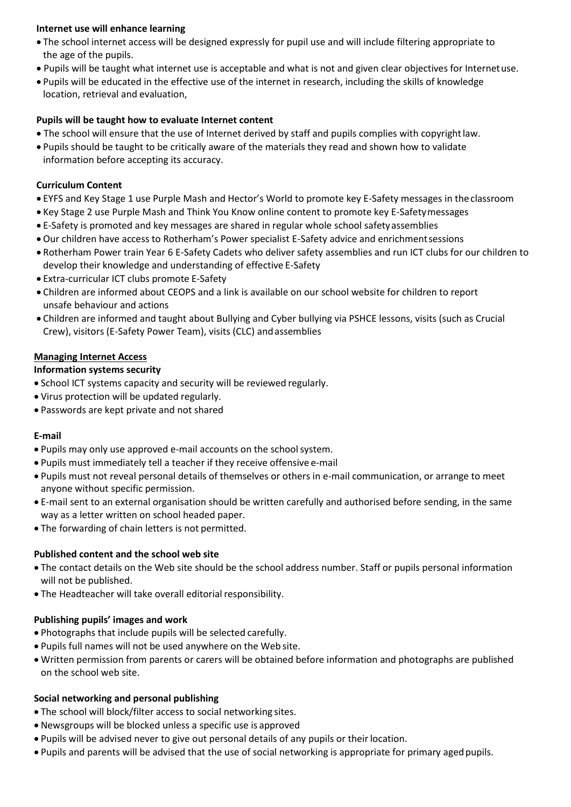#### **Internet use will enhance learning**

- The school internet access will be designed expressly for pupil use and will include filtering appropriate to the age of the pupils.
- Pupils will be taught what internet use is acceptable and what is not and given clear objectives for Internetuse.
- Pupils will be educated in the effective use of the internet in research, including the skills of knowledge location, retrieval and evaluation,

#### **Pupils will be taught how to evaluate Internet content**

- The school will ensure that the use of Internet derived by staff and pupils complies with copyrightlaw.
- Pupils should be taught to be critically aware of the materials they read and shown how to validate information before accepting its accuracy.

#### **Curriculum Content**

- EYFS and Key Stage 1 use Purple Mash and Hector's World to promote key E-Safety messages in theclassroom
- Key Stage 2 use Purple Mash and Think You Know online content to promote key E-Safetymessages
- E-Safety is promoted and key messages are shared in regular whole school safetyassemblies
- Our children have access to Rotherham's Power specialist E-Safety advice and enrichmentsessions
- Rotherham Power train Year 6 E-Safety Cadets who deliver safety assemblies and run ICT clubs for our children to develop their knowledge and understanding of effective E-Safety
- Extra-curricular ICT clubs promote E-Safety
- Children are informed about CEOPS and a link is available on our school website for children to report unsafe behaviour and actions
- Children are informed and taught about Bullying and Cyber bullying via PSHCE lessons, visits (such as Crucial Crew), visitors (E-Safety Power Team), visits (CLC) andassemblies

#### **Managing Internet Access**

#### **Information systems security**

- School ICT systems capacity and security will be reviewed regularly.
- Virus protection will be updated regularly.
- Passwords are kept private and not shared

#### **E-mail**

- Pupils may only use approved e-mail accounts on the schoolsystem.
- Pupils must immediately tell a teacher if they receive offensive e-mail
- Pupils must not reveal personal details of themselves or others in e-mail communication, or arrange to meet anyone without specific permission.
- E-mail sent to an external organisation should be written carefully and authorised before sending, in the same way as a letter written on school headed paper.
- The forwarding of chain letters is not permitted.

#### **Published content and the school web site**

- The contact details on the Web site should be the school address number. Staff or pupils personal information will not be published.
- The Headteacher will take overall editorial responsibility.

#### **Publishing pupils' images and work**

- Photographs that include pupils will be selected carefully.
- Pupils full names will not be used anywhere on the Web site.
- Written permission from parents or carers will be obtained before information and photographs are published on the school web site.

#### **Social networking and personal publishing**

- The school will block/filter access to social networking sites.
- Newsgroups will be blocked unless a specific use is approved
- Pupils will be advised never to give out personal details of any pupils or theirlocation.
- Pupils and parents will be advised that the use of social networking is appropriate for primary agedpupils.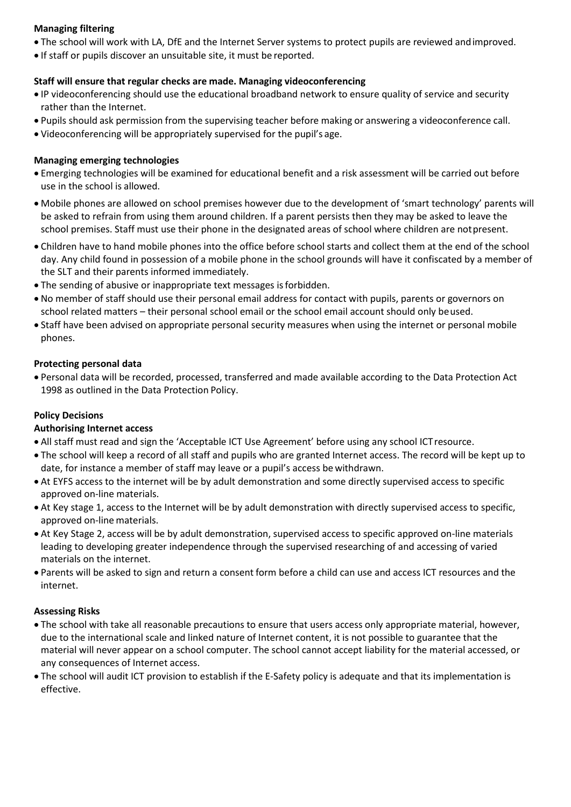#### **Managing filtering**

- The school will work with LA, DfE and the Internet Server systems to protect pupils are reviewed andimproved.
- If staff or pupils discover an unsuitable site, it must be reported.

#### **Staff will ensure that regular checks are made. Managing videoconferencing**

- IP videoconferencing should use the educational broadband network to ensure quality of service and security rather than the Internet.
- Pupils should ask permission from the supervising teacher before making or answering a videoconference call.
- Videoconferencing will be appropriately supervised for the pupil's age.

#### **Managing emerging technologies**

- Emerging technologies will be examined for educational benefit and a risk assessment will be carried out before use in the school is allowed.
- Mobile phones are allowed on school premises however due to the development of 'smart technology' parents will be asked to refrain from using them around children. If a parent persists then they may be asked to leave the school premises. Staff must use their phone in the designated areas of school where children are notpresent.
- Children have to hand mobile phones into the office before school starts and collect them at the end of the school day. Any child found in possession of a mobile phone in the school grounds will have it confiscated by a member of the SLT and their parents informed immediately.
- The sending of abusive or inappropriate text messages isforbidden.
- No member of staff should use their personal email address for contact with pupils, parents or governors on school related matters – their personal school email or the school email account should only beused.
- Staff have been advised on appropriate personal security measures when using the internet or personal mobile phones.

#### **Protecting personal data**

 Personal data will be recorded, processed, transferred and made available according to the Data Protection Act 1998 as outlined in the Data Protection Policy.

#### **Policy Decisions**

#### **Authorising Internet access**

- All staff must read and sign the 'Acceptable ICT Use Agreement' before using any school ICTresource.
- The school will keep a record of all staff and pupils who are granted Internet access. The record will be kept up to date, for instance a member of staff may leave or a pupil's access be withdrawn.
- At EYFS access to the internet will be by adult demonstration and some directly supervised access to specific approved on-line materials.
- At Key stage 1, access to the Internet will be by adult demonstration with directly supervised access to specific, approved on-line materials.
- At Key Stage 2, access will be by adult demonstration, supervised access to specific approved on-line materials leading to developing greater independence through the supervised researching of and accessing of varied materials on the internet.
- Parents will be asked to sign and return a consent form before a child can use and access ICT resources and the internet.

#### **Assessing Risks**

- The school with take all reasonable precautions to ensure that users access only appropriate material, however, due to the international scale and linked nature of Internet content, it is not possible to guarantee that the material will never appear on a school computer. The school cannot accept liability for the material accessed, or any consequences of Internet access.
- The school will audit ICT provision to establish if the E-Safety policy is adequate and that its implementation is effective.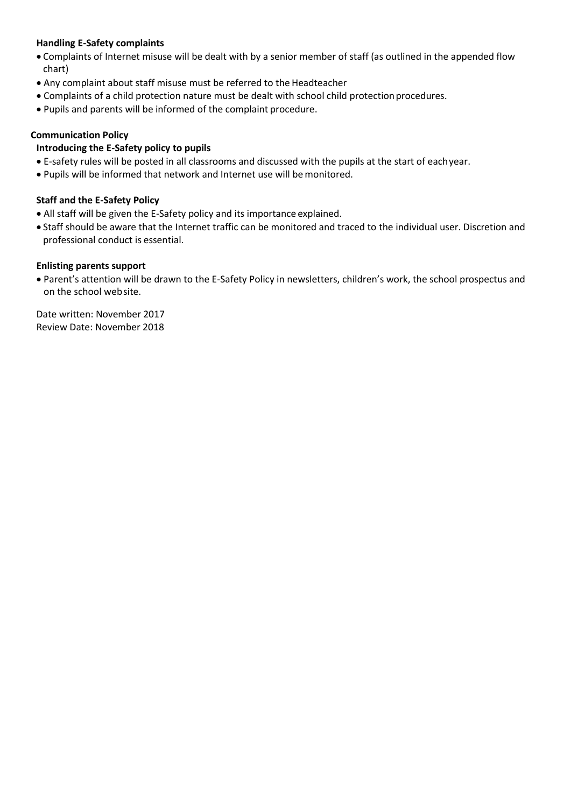#### **Handling E-Safety complaints**

- Complaints of Internet misuse will be dealt with by a senior member of staff (as outlined in the appended flow chart)
- Any complaint about staff misuse must be referred to the Headteacher
- Complaints of a child protection nature must be dealt with school child protectionprocedures.
- Pupils and parents will be informed of the complaint procedure.

#### **Communication Policy**

#### **Introducing the E-Safety policy to pupils**

- E-safety rules will be posted in all classrooms and discussed with the pupils at the start of eachyear.
- Pupils will be informed that network and Internet use will be monitored.

#### **Staff and the E-Safety Policy**

- All staff will be given the E-Safety policy and its importance explained.
- Staff should be aware that the Internet traffic can be monitored and traced to the individual user. Discretion and professional conduct is essential.

#### **Enlisting parents support**

 Parent's attention will be drawn to the E-Safety Policy in newsletters, children's work, the school prospectus and on the school website.

Date written: November 2017 Review Date: November 2018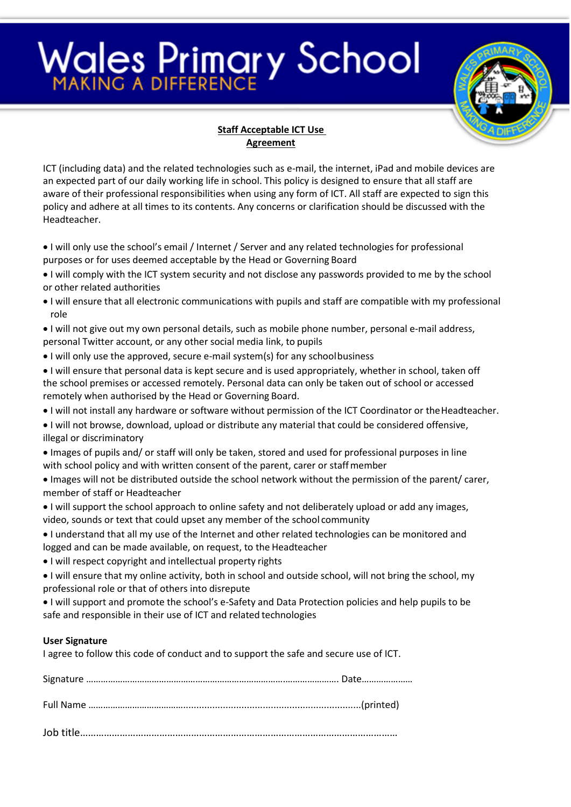## **Wales Primary School**



#### **Staff Acceptable ICT Use Agreement**

ICT (including data) and the related technologies such as e-mail, the internet, iPad and mobile devices are an expected part of our daily working life in school. This policy is designed to ensure that all staff are aware of their professional responsibilities when using any form of ICT. All staff are expected to sign this policy and adhere at all times to its contents. Any concerns or clarification should be discussed with the Headteacher.

- I will only use the school's email / Internet / Server and any related technologies for professional purposes or for uses deemed acceptable by the Head or Governing Board
- I will comply with the ICT system security and not disclose any passwords provided to me by the school or other related authorities
- I will ensure that all electronic communications with pupils and staff are compatible with my professional role
- I will not give out my own personal details, such as mobile phone number, personal e-mail address, personal Twitter account, or any other social media link, to pupils
- I will only use the approved, secure e-mail system(s) for any schoolbusiness
- I will ensure that personal data is kept secure and is used appropriately, whether in school, taken off the school premises or accessed remotely. Personal data can only be taken out of school or accessed remotely when authorised by the Head or Governing Board.
- I will not install any hardware or software without permission of the ICT Coordinator or theHeadteacher.
- I will not browse, download, upload or distribute any material that could be considered offensive, illegal or discriminatory
- Images of pupils and/ or staff will only be taken, stored and used for professional purposes in line with school policy and with written consent of the parent, carer or staffmember
- Images will not be distributed outside the school network without the permission of the parent/ carer, member of staff or Headteacher
- I will support the school approach to online safety and not deliberately upload or add any images, video, sounds or text that could upset any member of the school community
- I understand that all my use of the Internet and other related technologies can be monitored and logged and can be made available, on request, to the Headteacher
- I will respect copyright and intellectual property rights
- I will ensure that my online activity, both in school and outside school, will not bring the school, my professional role or that of others into disrepute
- I will support and promote the school's e-Safety and Data Protection policies and help pupils to be safe and responsible in their use of ICT and related technologies

#### **User Signature**

I agree to follow this code of conduct and to support the safe and secure use of ICT.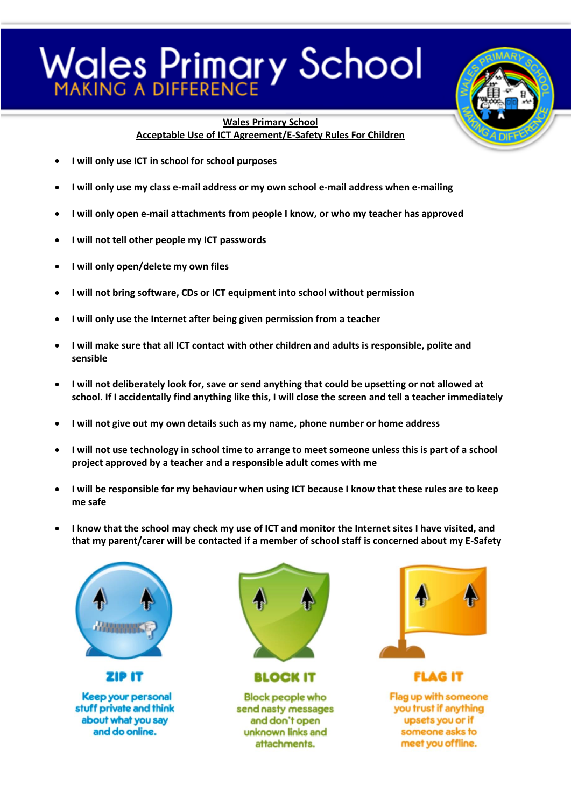## **Vales Primary School**



**Wales Primary School Acceptable Use of ICT Agreement/E-Safety Rules For Children**

- **I will only use ICT in school for school purposes**
- **I will only use my class e-mail address or my own school e-mail address when e-mailing**
- **I will only open e-mail attachments from people I know, or who my teacher has approved**
- **I will not tell other people my ICT passwords**
- **I will only open/delete my own files**
- **I will not bring software, CDs or ICT equipment into school without permission**
- **I will only use the Internet after being given permission from a teacher**
- **I will make sure that all ICT contact with other children and adults is responsible, polite and sensible**
- **I will not deliberately look for, save or send anything that could be upsetting or not allowed at school. If I accidentally find anything like this, I will close the screen and tell a teacher immediately**
- **I will not give out my own details such as my name, phone number or home address**
- **I will not use technology in school time to arrange to meet someone unless this is part of a school project approved by a teacher and a responsible adult comes with me**
- **I will be responsible for my behaviour when using ICT because I know that these rules are to keep me safe**
- **I know that the school may check my use of ICT and monitor the Internet sites I have visited, and that my parent/carer will be contacted if a member of school staff is concerned about my E-Safety**



Keep your personal stuff private and think about what you say and do online.

**ZIP IT** 



**BLOCK IT** 

**Block people who** send nasty messages and don't open unknown links and attachments.



**FLAG IT** Flag up with someone you trust if anything upsets you or if someone asks to meet you offline.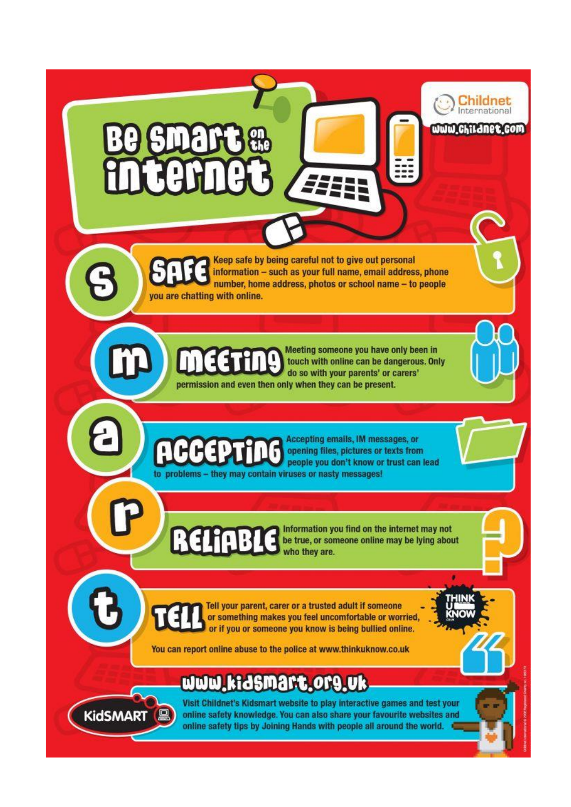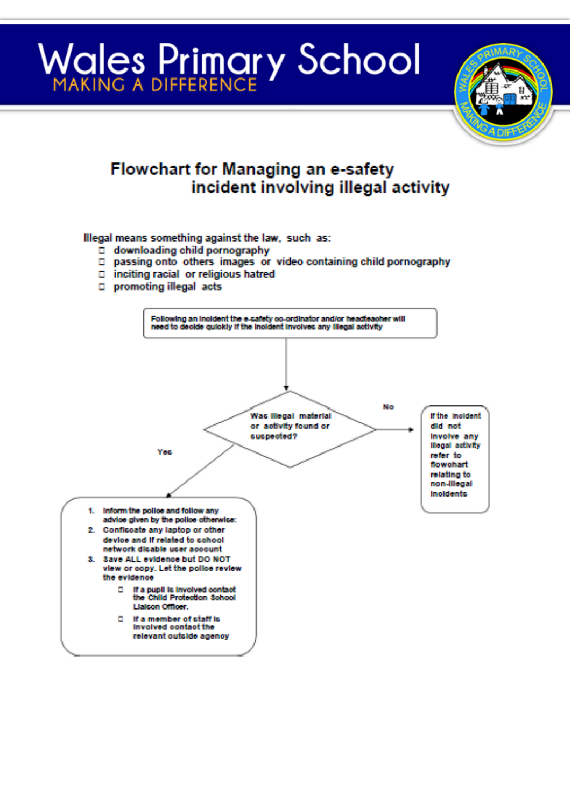## **Wales Primary School**



### **Flowchart for Managing an e-safety** incident involving illegal activity

Illegal means something against the law, such as:

- □ downloading child pornography
- D passing onto others images or video containing child pornography
- $\square$  inciting racial or religious hatred
- D promoting illegal acts

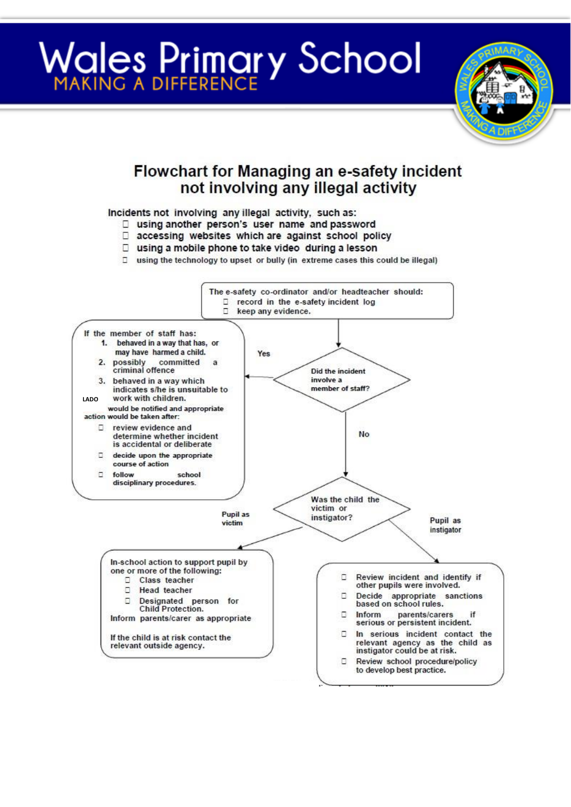# **Wales Primary School**



### **Flowchart for Managing an e-safety incident** not involving any illegal activity

#### Incidents not involving any illegal activity, such as:

- □ using another person's user name and password
- accessing websites which are against school policy
- □ using a mobile phone to take video during a lesson
- □ using the technology to upset or bully (in extreme cases this could be illegal)